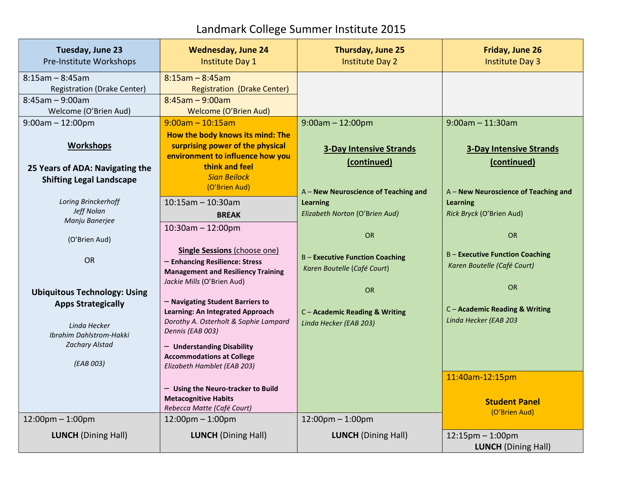## Landmark College Summer Institute 2015

| Tuesday, June 23<br>Pre-Institute Workshops                                                                | <b>Wednesday, June 24</b><br><b>Institute Day 1</b>                                                                                                                                                                                | Thursday, June 25<br><b>Institute Day 2</b>                         | Friday, June 26<br><b>Institute Day 3</b>                           |
|------------------------------------------------------------------------------------------------------------|------------------------------------------------------------------------------------------------------------------------------------------------------------------------------------------------------------------------------------|---------------------------------------------------------------------|---------------------------------------------------------------------|
| $8:15$ am - $8:45$ am                                                                                      | $8:15$ am - 8:45am                                                                                                                                                                                                                 |                                                                     |                                                                     |
| <b>Registration (Drake Center)</b>                                                                         | <b>Registration (Drake Center)</b>                                                                                                                                                                                                 |                                                                     |                                                                     |
| $8:45am - 9:00am$                                                                                          | $8:45am - 9:00am$                                                                                                                                                                                                                  |                                                                     |                                                                     |
| Welcome (O'Brien Aud)                                                                                      | Welcome (O'Brien Aud)                                                                                                                                                                                                              |                                                                     |                                                                     |
| $9:00am - 12:00pm$                                                                                         | $9:00am - 10:15am$                                                                                                                                                                                                                 | $9:00am - 12:00pm$                                                  | $9:00$ am - 11:30am                                                 |
| <b>Workshops</b><br>25 Years of ADA: Navigating the<br><b>Shifting Legal Landscape</b>                     | How the body knows its mind: The<br>surprising power of the physical<br>environment to influence how you<br>think and feel<br><b>Sian Beilock</b><br>(O'Brien Aud)                                                                 | <b>3-Day Intensive Strands</b><br>(continued)                       | <b>3-Day Intensive Strands</b><br>(continued)                       |
|                                                                                                            |                                                                                                                                                                                                                                    | A - New Neuroscience of Teaching and                                | A - New Neuroscience of Teaching and                                |
| Loring Brinckerhoff<br>Jeff Nolan                                                                          | $10:15$ am - 10:30am<br><b>BREAK</b>                                                                                                                                                                                               | <b>Learning</b><br>Elizabeth Norton (O'Brien Aud)                   | <b>Learning</b><br>Rick Bryck (O'Brien Aud)                         |
| Manju Banerjee<br>(O'Brien Aud)                                                                            | $10:30$ am $- 12:00$ pm                                                                                                                                                                                                            | OR                                                                  | OR                                                                  |
| <b>OR</b>                                                                                                  | <b>Single Sessions (choose one)</b><br>- Enhancing Resilience: Stress<br><b>Management and Resiliency Training</b><br>Jackie Mills (O'Brien Aud)                                                                                   | <b>B-Executive Function Coaching</b><br>Karen Boutelle (Café Court) | <b>B-Executive Function Coaching</b><br>Karen Boutelle (Café Court) |
| <b>Ubiquitous Technology: Using</b>                                                                        |                                                                                                                                                                                                                                    | <b>OR</b>                                                           | OR                                                                  |
| <b>Apps Strategically</b><br>Linda Hecker<br>Ibrahim Dahlstrom-Hakki<br><b>Zachary Alstad</b><br>(EAB 003) | - Navigating Student Barriers to<br>Learning: An Integrated Approach<br>Dorothy A. Osterholt & Sophie Lampard<br>Dennis (EAB 003)<br>- Understanding Disability<br><b>Accommodations at College</b><br>Elizabeth Hamblet (EAB 203) | C-Academic Reading & Writing<br>Linda Hecker (EAB 203)              | C - Academic Reading & Writing<br>Linda Hecker (EAB 203             |
|                                                                                                            | - Using the Neuro-tracker to Build<br><b>Metacognitive Habits</b><br>Rebecca Matte (Café Court)                                                                                                                                    |                                                                     | 11:40am-12:15pm<br><b>Student Panel</b><br>(O'Brien Aud)            |
| $12:00$ pm – 1:00pm                                                                                        | $12:00$ pm – 1:00pm                                                                                                                                                                                                                | $12:00$ pm $-1:00$ pm                                               |                                                                     |
| <b>LUNCH</b> (Dining Hall)                                                                                 | <b>LUNCH</b> (Dining Hall)                                                                                                                                                                                                         | <b>LUNCH</b> (Dining Hall)                                          | $12:15$ pm $-1:00$ pm<br><b>LUNCH</b> (Dining Hall)                 |